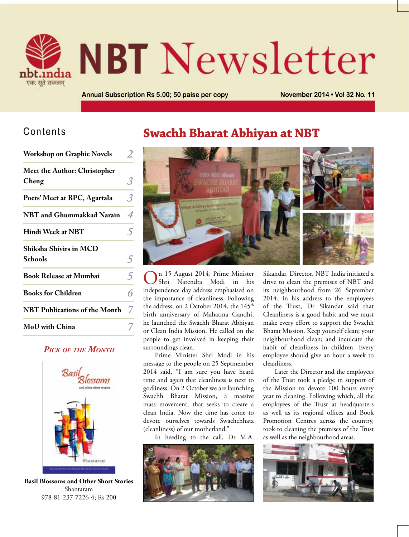

# **NBT** Newsletter

**Annual Subscription Rs 5.00; 50 paise per copy November 2014 • Vol 32 No. 11**

## Contents

| <b>Workshop on Graphic Novels</b>               |   |
|-------------------------------------------------|---|
| Meet the Author: Christopher<br>Cheng           | 3 |
| Poets' Meet at BPC, Agartala                    | 3 |
| NBT and Ghummakkad Narain                       | 4 |
| Hindi Week at NBT                               | 5 |
| <b>Shiksha Shivirs in MCD</b><br><b>Schools</b> | 5 |
| <b>Book Release at Mumbai</b>                   | 5 |
| <b>Books for Children</b>                       | 6 |
| <b>NBT Publications of the Month</b>            | 7 |
| MoU with China                                  |   |

## *Pick of the Month*



**Basil Blossoms and Other Short Stories** Shantaram 978-81-237-7226-4; Rs 200

## **Swachh Bharat Abhiyan at NBT**



On 15 August 2014, Prime Minister Shri Narendra Modi in his independence day address emphasised on the importance of cleanliness. Following the address, on 2 October 2014, the 145<sup>th</sup> birth anniversary of Mahatma Gandhi, he launched the Swachh Bharat Abhiyan or Clean India Mission. He called on the people to get involved in keeping their surroundings clean.

Prime Minister Shri Modi in his message to the people on 25 Septmember 2014 said, "I am sure you have heard time and again that cleanliness is next to godliness. On 2 October we are launching Swachh Bharat Mission, a massive mass movement, that seeks to create a clean India. Now the time has come to devote ourselves towards Swachchhata (cleanliness) of our motherland."

In heeding to the call, Dr M.A.



Sikandar, Director, NBT India initiated a drive to clean the premises of NBT and its neighbourhood from 26 September 2014. In his address to the employees of the Trust, Dr Sikandar said that Cleanliness is a good habit and we must make every effort to support the Swachh Bharat Mission. Keep yourself clean; your neighbourhood clean; and inculcate the habit of cleanliness in children. Every employee should give an hour a week to cleanliness.

Later the Director and the employees of the Trust took a pledge in support of the Mission to devote 100 hours every year to cleaning. Following which, all the employees of the Trust at headquarters as well as its regional offices and Book Promotion Centres across the country, took to cleaning the premises of the Trust as well as the neighbourhood areas.

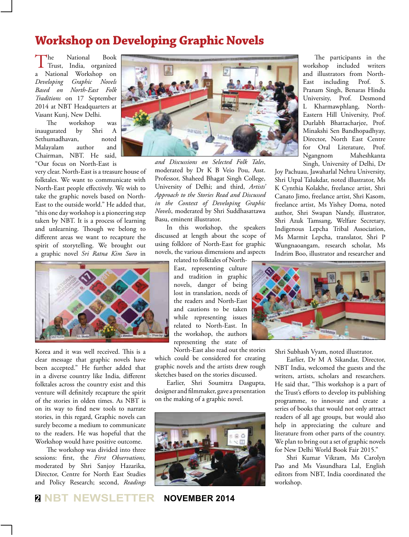## **Workshop on Developing Graphic Novels**

The National Book<br>Trust, India, organized a National Workshop on *Developing Graphic Novels Based on North-East Folk Traditions* on 17 September 2014 at NBT Headquarters at Vasant Kunj, New Delhi.

The workshop was inaugurated by Shri A Sethumadhavan, noted Malayalam author and Chairman, NBT. He said, "Our focus on North-East is

very clear. North-East is a treasure house of folktales. We want to communicate with North-East people effectively. We wish to take the graphic novels based on North-East to the outside world." He added that, "this one day workshop is a pioneering step taken by NBT. It is a process of learning and unlearning. Though we belong to different areas we want to recapture the spirit of storytelling. We brought out a graphic novel *Sri Ratna Kim Suro* in



Korea and it was well received. This is a clear message that graphic novels have been accepted." He further added that in a diverse country like India, different folktales across the country exist and this venture will definitely recapture the spirit of the stories in olden times. As NBT is on its way to find new tools to narrate stories, in this regard, Graphic novels can surely become a medium to communicate to the readers. He was hopeful that the Workshop would have positive outcome.

The workshop was divided into three sessions: first, the *First Observations,* moderated by Shri Sanjoy Hazarika, Director, Centre for North East Studies and Policy Research; second, *Readings* 



*and Discussions on Selected Folk Tales*, moderated by Dr K B Veio Pou, Asst. Professor, Shaheed Bhagat Singh College, University of Delhi; and third, *Artists' Approach to the Stories Read and Discussed in the Context of Developing Graphic Novels*, moderated by Shri Suddhasattawa Basu, eminent illustrator.

In this workshop, the speakers discussed at length about the scope of using folklore of North-East for graphic novels, the various dimensions and aspects

related to folktales of North-East, representing culture and tradition in graphic novels, danger of being lost in translation, needs of the readers and North-East and cautions to be taken while representing issues related to North-East. In the workshop, the authors representing the state of

North-East also read out the stories which could be considered for creating graphic novels and the artists drew rough sketches based on the stories discussed.

Earlier, Shri Soumitra Dasgupta, designer and filmmaker, gave a presentation on the making of a graphic novel.



**<sup>2</sup> NBT NEWSLETTER NOVEMBER 2014**

The participants in the workshop included writers and illustrators from North-East including Prof. S. Pranam Singh, Benaras Hindu University, Prof. Desmond L Kharmawphlang, North-Eastern Hill University, Prof. Durlabh Bhattacharjee, Prof. Minakshi Sen Bandhopadhyay, Director, North East Centre for Oral Literature, Prof. Ngangnom Maheshkanta Singh, University of Delhi, Dr

Joy Pachuau, Jawaharlal Nehru University, Shri Utpal Talukdar, noted illustrator, Ms K Cynthia Kolakhe, freelance artist, Shri Canato Jimo, freelance artist, Shri Kasom, freelance artist, Ms Yishey Doma, noted author, Shri Swapan Nandy, illustrator, Shri Azuk Tamsang, Welfare Secretary, Indigenous Lepcha Tribal Association, Ms Marmit Lepcha, translator, Shri P Wungnaoangam, research scholar, Ms Indrim Boo, illustrator and researcher and



Shri Subhash Vyam, noted illustrator.

Earlier, Dr M A Sikandar, Director, NBT India, welcomed the guests and the writers, artists, scholars and researchers. He said that, "This workshop is a part of the Trust's efforts to develop its publishing programme, to innovate and create a series of books that would not only attract readers of all age groups, but would also help in appreciating the culture and literature from other parts of the country. We plan to bring out a set of graphic novels for New Delhi World Book Fair 2015."

Shri Kumar Vikram, Ms Carolyn Pao and Ms Vasundhara Lal, English editors from NBT, India coordinated the workshop.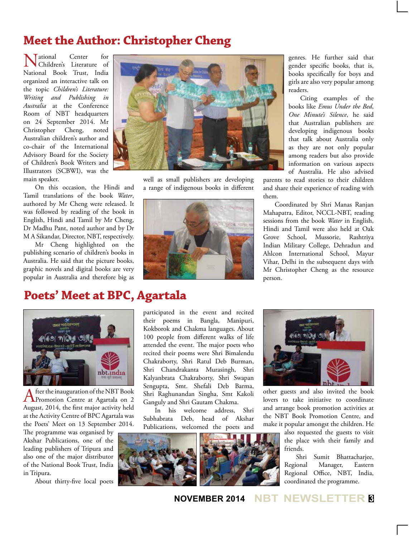# **Meet the Author: Christopher Cheng**

National Center for Children's Literature of National Book Trust, India organized an interactive talk on the topic *Children's Literature: Writing and Publishing in Australia* at the Conference Room of NBT headquarters on 24 September 2014. Mr Christopher Cheng, noted Australian children's author and co-chair of the International Advisory Board for the Society of Children's Book Writers and Illustrators (SCBWI), was the main speaker.

On this occasion, the Hindi and Tamil translations of the book *Water*, authored by Mr Cheng were released. It was followed by reading of the book in English, Hindi and Tamil by Mr Cheng, Dr Madhu Pant, noted author and by Dr M A Sikandar, Director, NBT, respectively.

Mr Cheng highlighted on the publishing scenario of children's books in Australia. He said that the picture books, graphic novels and digital books are very popular in Australia and therefore big as

## **Poets' Meet at BPC, Agartala**



After the inauguration of the NBT Book<br>Promotion Centre at Agartala on 2 August, 2014, the first major activity held at the Activity Centre of BPC Agartala was the Poets' Meet on 13 September 2014.

The programme was organised by Akshar Publications, one of the leading publishers of Tripura and also one of the major distributor of the National Book Trust, India in Tripura.

About thirty-five local poets



well as small publishers are developing a range of indigenous books in different



genres. He further said that gender specific books, that is, books specifically for boys and girls are also very popular among readers.

Citing examples of the books like *Emus Under the Bed*, *One Minute's Silence*, he said that Australian publishers are developing indigenous books that talk about Australia only as they are not only popular among readers but also provide information on various aspects of Australia. He also advised

parents to read stories to their children and share their experience of reading with them.

Coordinated by Shri Manas Ranjan Mahapatra, Editor, NCCL-NBT, reading sessions from the book *Water* in English, Hindi and Tamil were also held at Oak Grove School, Mussorie, Rashtriya Indian Military College, Dehradun and Ahlcon International School, Mayur Vihar, Delhi in the subsequent days with Mr Christopher Cheng as the resource person.

participated in the event and recited their poems in Bangla, Manipuri, Kokborok and Chakma languages. About 100 people from different walks of life attended the event. The major poets who recited their poems were Shri Bimalendu Chakraborty, Shri Ratul Deb Burman, Shri Chandrakanta Murasingh, Shri Kalyanbrata Chakraborty, Shri Swapan Sengupta, Smt. Shefali Deb Barma, Shri Raghunandan Singha, Smt Kakoli Ganguly and Shri Gautam Chakma.

In his welcome address, Shri Subhabrata Deb, head of Akshar Publications, welcomed the poets and





other guests and also invited the book lovers to take initiative to coordinate and arrange book promotion activities at the NBT Book Promotion Centre, and make it popular amongst the children. He

> also requested the guests to visit the place with their family and friends.

> Shri Sumit Bhattacharjee, Regional Manager, Eastern Regional Office, NBT, India, coordinated the programme.

**NOVEMBER 2014 NBT NEWSLETTER <sup>3</sup>**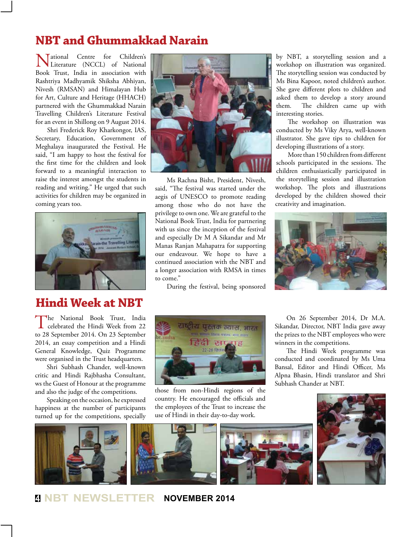# **NBT and Ghummakkad Narain**

National Centre for Children's Literature (NCCL) of National Book Trust, India in association with Rashtriya Madhyamik Shiksha Abhiyan, Nivesh (RMSAN) and Himalayan Hub for Art, Culture and Heritage (HHACH) partnered with the Ghummakkad Narain Travelling Children's Literature Festival for an event in Shillong on 9 August 2014.

Shri Frederick Roy Kharkongor, IAS, Secretary, Education, Government of Meghalaya inaugurated the Festival. He said, "I am happy to host the festival for the first time for the children and look forward to a meaningful interaction to raise the interest amongst the students in reading and writing." He urged that such activities for children may be organized in coming years too.



## **Hindi Week at NBT**

The National Book Trust, India<br>
celebrated the Hindi Week from 22 to 28 September 2014. On 23 September 2014, an essay competition and a Hindi General Knowledge, Quiz Programme were organised in the Trust headquarters.

Shri Subhash Chander, well-known critic and Hindi Rajbhasha Consultant, ws the Guest of Honour at the programme and also the judge of the competitions.

Speaking on the occasion, he expressed happiness at the number of participants turned up for the competitions, specially



Ms Rachna Bisht, President, Nivesh, said, "The festival was started under the aegis of UNESCO to promote reading among those who do not have the privilege to own one. We are grateful to the National Book Trust, India for partnering with us since the inception of the festival and especially Dr M A Sikandar and Mr Manas Ranjan Mahapatra for supporting our endeavour. We hope to have a continued association with the NBT and a longer association with RMSA in times to come."

During the festival, being sponsored



those from non-Hindi regions of the country. He encouraged the officials and the employees of the Trust to increase the use of Hindi in their day-to-day work.

On 26 September 2014, Dr M.A. Sikandar, Director, NBT India gave away the prizes to the NBT employees who were winners in the competitions.

by NBT, a storytelling session and a workshop on illustration was organized. The storytelling session was conducted by Ms Bina Kapoor, noted children's author. She gave different plots to children and asked them to develop a story around them. The children came up with

The workshop on illustration was conducted by Ms Viky Arya, well-known illustrator. She gave tips to children for

More than 150 children from different schools participated in the sessions. The children enthusiastically participated in the storytelling session and illustration workshop. The plots and illustrations developed by the children showed their

developing illustrations of a story.

creativity and imagination.

interesting stories.

The Hindi Week programme was conducted and coordinated by Ms Uma Bansal, Editor and Hindi Officer, Ms Alpna Bhasin, Hindi translator and Shri Subhash Chander at NBT.



## **<sup>4</sup> NBT NEWSLETTER NOVEMBER 2014**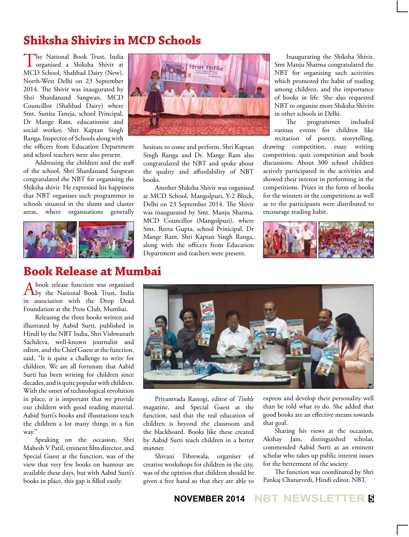# **Shiksha Shivirs in MCD Schools**

The National Book Trust, India organised a Shiksha Shivir at MCD School, Shahbad Dairy (New), North-West Delhi on 23 September 2014. The Shivir was inaugurated by Shri Shardanand Sangwan, MCD Councillor (Shahbad Dairy) where Smt. Sunita Taneja, school Principal, Dr Mange Ram, educationist and social worker, Shri Kaptan Singh Ranga, Inspector of Schools along with the officers from Education Department and school teachers were also present.

Addressing the children and the staff of the school, Shri Shardanand Sangwan congratulated the NBT for organising the Shiksha shivir. He expressed his happiness that NBT organises such programmes in schools situated in the slums and cluster areas, where organisations generally



## **Book Release at Mumbai**

A book release function was organised<br>
by the National Book Trust, India in association with the Drop Dead Foundation at the Press Club, Mumbai.

Releasing the three books written and illustrated by Aabid Surti, published in Hindi by the NBT India, Shri Vishwanath Sachdeva, well-known journalist and editor, and the Chief Guest at the function, said, "It is quite a challenge to write for children. We are all fortunate that Aabid Surti has been writing for children since decades, and is quite popular with children. With the onset of technological revolution in place, it is important that we provide our children with good reading material. Aabid Surti's books and illustrations teach the children a lot many things in a fun way."

Speaking on the occasion, Shri Mahesh V Patil, eminent film director, and Special Guest at the function, was of the view that very few books on humour are available these days, but with Aabid Surti's books in place, this gap is filled easily.



hesitate to come and perform. Shri Kaptan Singh Ranga and Dr. Mange Ram also congratulated the NBT and spoke about the quality and affordability of NBT books.

Another Shiksha Shivir was organised at MCD School, Mangolpuri, Y-2 Block, Delhi on 23 September 2014. The Shivir was inaugurated by Smt. Manju Sharma, MCD Councillor (Mangolpuri), where Smt. Reeta Gupta, school Prinicipal, Dr Mange Ram, Shri Kaptan Singh Ranga, along with the officers from Education Department and teachers were present.

Inaugurating the Shiksha Shivir, Smt Manju Sharma congratulated the NBT for organising such activities which promoted the habit of reading among children, and the importance of books in life. She also requested NBT to organise more Shiksha Shivirs in other schools in Delhi.

The programmes included various events for children like recitation of poetry, storytelling,

drawing competition, essay writing competition, quiz competition and book discussions. About 300 school children actively participated in the activities and showed their interest in performing in the competitions. Prizes in the form of books for the winners in the competitions as well as to the participants were distributed to encourage reading habit.





Priyamvada Rastogi, editor of *Tinkle* magazine, and Special Guest at the function, said that the real education of children is beyond the classroom and the blackboard. Books like these created by Aabid Surti teach children in a better manner.

Shivani Tibrewala, organiser of creative workshops for children in the city, was of the opinion that children should be given a free hand so that they are able to

express and develop their personality well than be told what to do. She added that good books are an effective means towards that goal.

Sharing his views at the occasion, Akshay Jain, distinguished scholar, commended Aabid Surti as an eminent scholar who takes up public interest issues for the betterment of the society.

The function was coordinated by Shri Pankaj Chaturvedi, Hindi editor, NBT.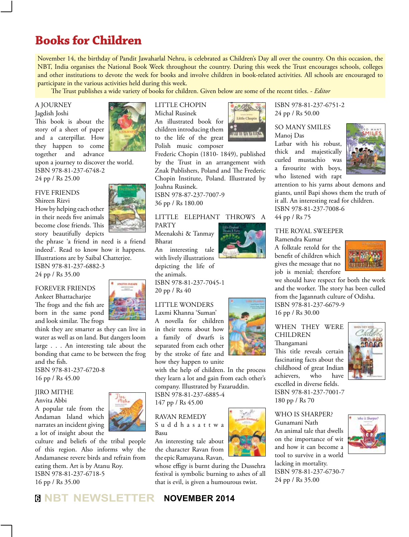# **Books for Children**

November 14, the birthday of Pandit Jawaharlal Nehru, is celebrated as Children's Day all over the country. On this occasion, the NBT, India organises the National Book Week throughout the country. During this week the Trust encourages schools, colleges and other institutions to devote the week for books and involve children in book-related activities. All schools are encouraged to participate in the various activities held during this week.

The Trust publishes a wide variety of books for children. Given below are some of the recent titles. - *Editor*

LITTLE CHOPIN

#### A JOURNEY

Jagdish Joshi

This book is about the story of a sheet of paper and a caterpillar. How they happen to come together and advance

upon a journey to discover the world. ISBN 978-81-237-6748-2

24 pp / Rs 25.00

#### FIVE FRIENDS Shireen Rizvi

How by helping each other in their needs five animals become close friends. This story beautifully depicts



the phrase 'a friend in need is a friend indeed'. Read to know how it happens. Illustrations are by Saibal Chatterjee. ISBN 978-81-237-6882-3

24 pp / Rs 35.00

#### FOREVER FRIENDS

Ankeet Bhattacharjee The frogs and the fish are born in the same pond and look similar. The frogs

think they are smarter as they can live in water as well as on land. But dangers loom large . . . An interesting tale about the bonding that came to be between the frog and the fish.

ISBN 978-81-237-6720-8 16 pp / Rs 45.00

## JIRO MITHE

Anvita Abbi

A popular tale from the Andaman Island which narrates an incident giving a lot of insight about the



culture and beliefs of the tribal people of this region. Also informs why the Andamanese revere birds and refrain from eating them. Art is by Atanu Roy. ISBN 978-81-237-6718-5 16 pp / Rs 35.00

Michal Rusinek An illustrated book for children introducing them to the life of the great Polish music composer

Frederic Chopin (1810- 1849), published by the Trust in an arrangement with Znak Publishers, Poland and The Frederic Chopin Institute, Poland. Illustrated by Joahna Rusinek.

ISBN 978-87-237-7007-9 36 pp / Rs 180.00

## Little Elephant Throws A

**PARTY** Meenakshi & Tanmay Bharat

An interesting tale with lively illustrations depicting the life of the animals.

ISBN 978-81-237-7045-1 20 pp / Rs 40

#### LITTLE WONDERS

Laxmi Khanna 'Suman' A novella for children in their teens about how a family of dwarfs is separated from each other by the stroke of fate and how they happen to unite

with the help of children. In the process they learn a lot and gain from each other's company. Illustrated by Fazaruddin.

#### RAVAN REMEDY

S u d d h a s a t t w a Basu

An interesting tale about the character Ravan from the epic Ramayana. Ravan,

whose effigy is burnt during the Dussehra festival is symbolic burning to ashes of all that is evil, is given a humourous twist.



ISBN 978-81-237-6751-2 24 pp / Rs 50.00

So Many Smiles Manoj Das

Latbar with his robust, thick and majestically curled mustachio was a favourite with boys, who listened with rapt



attention to his yarns about demons and giants, until Bapi shows them the truth of it all. An interesting read for children. ISBN 978-81-237-7008-6 44 pp / Rs 75

#### THE ROYAL SWEEPER

Ramendra Kumar A folktale retold for the benefit of children which gives the message that no job is menial; therefore



we should have respect for both the work and the worker. The story has been culled from the Jagannath culture of Odisha. ISBN 978-81-237-6679-9

When They were **CHILDREN** Thangamani This title reveals certain fascinating facts about the childhood of great Indian<br>achievers. who have achievers, who have excelled in diverse fields. ISBN 978-81-237-7001-7 180 pp / Rs 70

#### WHO IS SHARPER?

Gunamani Nath An animal tale that dwells on the importance of wit and how it can become a tool to survive in a world lacking in mortality. ISBN 978-81-237-6730-7 24 pp / Rs 35.00







**<sup>6</sup> NBT NEWSLETTER NOVEMBER 2014**



16 pp / Rs 30.00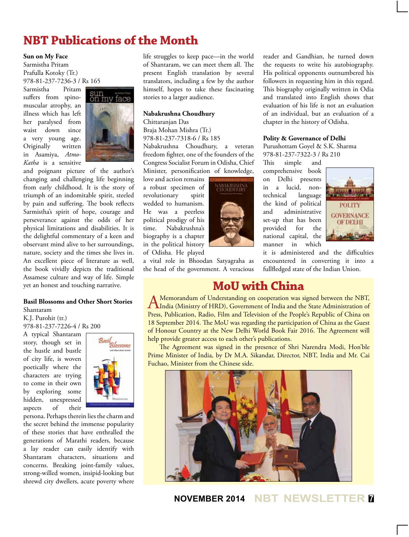# **NBT Publications of the Month**

#### **Sun on My Face**

Sarmistha Pritam Prafulla Kotoky (Tr.) 978-81-237-7236-3 / Rs 165

Sarmistha Pritam suffers from spinomuscular atrophy, an illness which has left her paralysed from waist down since a very young age. Originally written in Asamiya, *Atmo-Katha* is a sensitive



and poignant picture of the author's changing and challenging life beginning from early childhood. It is the story of triumph of an indomitable spirit, steeled by pain and suffering. The book reflects Sarmistha's spirit of hope, courage and perseverance against the odds of her physical limitations and disabilities. It is the delightful commentary of a keen and observant mind alive to her surroundings, nature, society and the times she lives in. An excellent piece of literature as well, the book vividly depicts the traditional Assamese culture and way of life. Simple yet an honest and touching narrative.

#### **Basil Blossoms and Other Short Stories** Shantaram

K.J. Purohit (tr.)

978-81-237-7226-4 / Rs 200

A typical Shantaram story, though set in the hustle and bustle of city life, is woven poetically where the characters are trying to come in their own by exploring some hidden, unexpressed aspects of their



persona. Perhaps therein lies the charm and the secret behind the immense popularity of these stories that have enthralled the generations of Marathi readers, because a lay reader can easily identify with Shantaram characters, situations and concerns. Breaking joint-family values, strong-willed women, insipid-looking but shrewd city dwellers, acute poverty where life struggles to keep pace—in the world of Shantaram, we can meet them all. The present English translation by several translators, including a few by the author himself, hopes to take these fascinating stories to a larger audience.

#### **Nabakrushna Choudhury**

Chittaranjan Das Braja Mohan Mishra (Tr.) 978-81-237-7318-6 / Rs 185 Nabakrushna Choudhury, a veteran freedom fighter, one of the founders of the Congress Socialist Forum in Odisha, Chief Minister, personification of knowledge,

love and action remains a robust specimen of revolutionary spirit wedded to humanism. He was a peerless political prodigy of his time. Nabakrushna's biography is a chapter in the political history of Odisha. He played

GABAKRUSHNA<br>CHOUDHURY

a vital role in Bhoodan Satyagraha as the head of the government. A veracious reader and Gandhian, he turned down the requests to write his autobiography. His political opponents outnumbered his followers in requesting him in this regard. This biography originally written in Odia and translated into English shows that evaluation of his life is not an evaluation of an individual, but an evaluation of a chapter in the history of Odisha.

#### **Polity & Governance of Delhi**

Purushottam Goyel & S.K. Sharma 978-81-237-7322-3 / Rs 210

This simple and comprehensive book on Delhi presents in a lucid, nontechnical language the kind of political and administrative set-up that has been provided for the national capital, the manner in which



it is administered and the difficulties encountered in converting it into a fullfledged state of the Indian Union.

A Memorandum of Understanding on cooperation was signed between the NBT,<br>
India (Ministry of HRD), Government of India and the State Administration of Press, Publication, Radio, Film and Television of the People's Republic of China on 18 September 2014. The MoU was regarding the participation of China as the Guest of Honour Country at the New Delhi World Book Fair 2016. The Agreement will help provide greater access to each other's publications. **MoU with China**<br>Memorandum of Understanding on cooperation was signed between the NBT,

The Agreement was signed in the presence of Shri Narendra Modi, Hon'ble Prime Minister of India, by Dr M.A. Sikandar, Director, NBT, India and Mr. Cai Fuchao, Minister from the Chinese side.



**NOVEMBER 2014 NBT NEWSLETTER <sup>7</sup>**